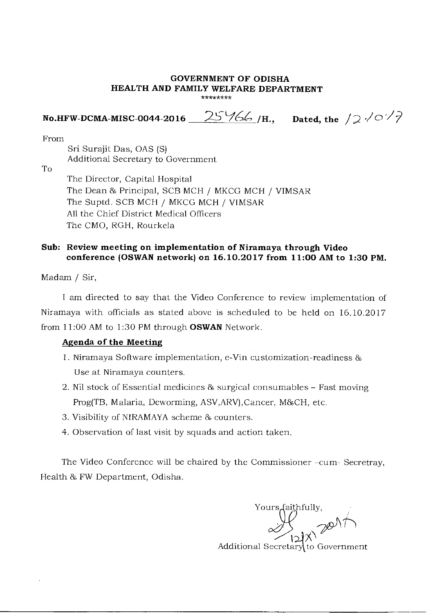## **GOVERNMENT OF ODISHA HEALTH AND FAMILY WELFARE DEPARTMENT \*\*\*\*\*\*\*\***

**No.HFW-DCMA-MISC-0044-2016 2**5 `14.4 **/H., Dated, the /;) r/ ./.7** 

From

Sri Surajit Das, OAS (S) Additional Secretary to Government

To

The Director, Capital Hospital The Dean & Principal, SCB MCH / MKCG MCH / VIMSAR The Suptd. SCB MCH / MKCG MCH / VIMSAR All the Chief District Medical Officers The CMO, RGH, Rourkela

## **Sub: Review meeting on implementation of Niramaya through Video conference (OSWAN network) on 16.10.2017 from 11:00 AM to 1:30 PM.**

Madam / Sir,

I am directed to say that the Video Conference to review implementation of Niramaya with officials as stated above is scheduled to be held on 16.10.2017 from 11:00 AM to 1:30 PM through **OSWAN** Network.

## **Agenda of the Meeting**

- 1. Niramaya Software implementation, e-Vin customization-readiness & Use at Niramaya counters.
- 2. Nil stock of Essential medicines & surgical consumables Fast moving Prog(TB, Malaria, Deworming, ASV, ARV), Cancer, M&CH, etc.
- 3. Visibility of NIRAMAYA scheme *&* counters.
- 4. Observation of last visit by squads and action taken.

The Video Conference will be chaired by the Commissioner -cum- Secretray, Health & FW Department, Odisha.

Yours faithfully,<br>  $\bigvee_{i \in \mathbb{N}} \bigvee_{i \in \mathbb{N}} \mathbb{N}^i$ Additional Secretary to Government